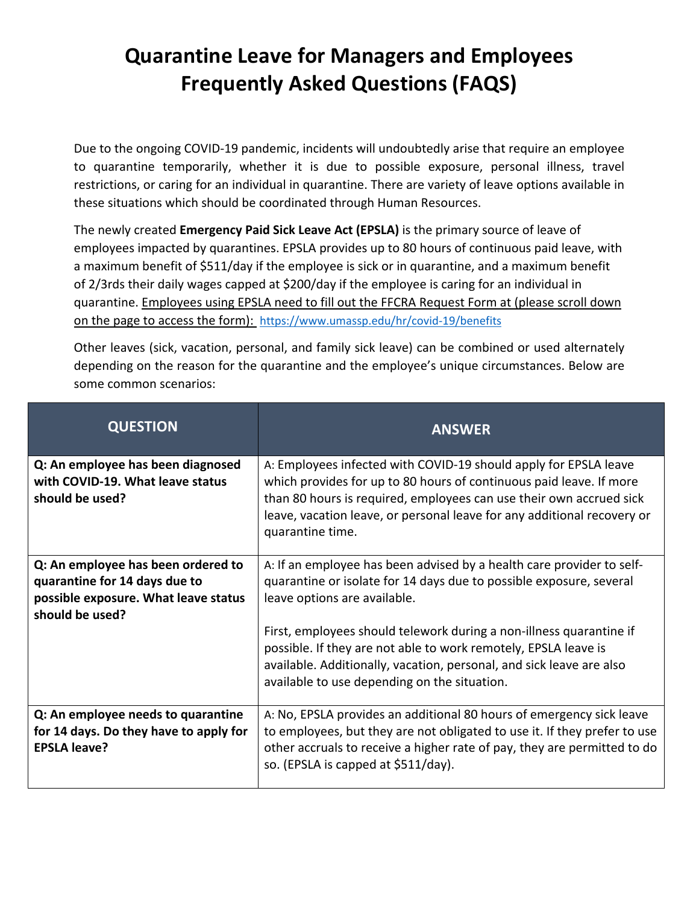## **Quarantine Leave for Managers and Employees Frequently Asked Questions (FAQS)**

Due to the ongoing COVID-19 pandemic, incidents will undoubtedly arise that require an employee to quarantine temporarily, whether it is due to possible exposure, personal illness, travel restrictions, or caring for an individual in quarantine. There are variety of leave options available in these situations which should be coordinated through Human Resources.

The newly created **Emergency Paid Sick Leave Act (EPSLA)** is the primary source of leave of employees impacted by quarantines. EPSLA provides up to 80 hours of continuous paid leave, with a maximum benefit of \$511/day if the employee is sick or in quarantine, and a maximum benefit of 2/3rds their daily wages capped at \$200/day if the employee is caring for an individual in quarantine. Employees using EPSLA need to fill out the FFCRA Request Form at (please scroll down on the page to access the form): <https://www.umassp.edu/hr/covid-19/benefits>

Other leaves (sick, vacation, personal, and family sick leave) can be combined or used alternately depending on the reason for the quarantine and the employee's unique circumstances. Below are some common scenarios:

| <b>QUESTION</b>                                                                                                                | <b>ANSWER</b>                                                                                                                                                                                                                                                                                                                                                                                                                                  |
|--------------------------------------------------------------------------------------------------------------------------------|------------------------------------------------------------------------------------------------------------------------------------------------------------------------------------------------------------------------------------------------------------------------------------------------------------------------------------------------------------------------------------------------------------------------------------------------|
| Q: An employee has been diagnosed<br>with COVID-19. What leave status<br>should be used?                                       | A: Employees infected with COVID-19 should apply for EPSLA leave<br>which provides for up to 80 hours of continuous paid leave. If more<br>than 80 hours is required, employees can use their own accrued sick<br>leave, vacation leave, or personal leave for any additional recovery or<br>quarantine time.                                                                                                                                  |
| Q: An employee has been ordered to<br>quarantine for 14 days due to<br>possible exposure. What leave status<br>should be used? | A: If an employee has been advised by a health care provider to self-<br>quarantine or isolate for 14 days due to possible exposure, several<br>leave options are available.<br>First, employees should telework during a non-illness quarantine if<br>possible. If they are not able to work remotely, EPSLA leave is<br>available. Additionally, vacation, personal, and sick leave are also<br>available to use depending on the situation. |
| Q: An employee needs to quarantine<br>for 14 days. Do they have to apply for<br><b>EPSLA leave?</b>                            | A: No, EPSLA provides an additional 80 hours of emergency sick leave<br>to employees, but they are not obligated to use it. If they prefer to use<br>other accruals to receive a higher rate of pay, they are permitted to do<br>so. (EPSLA is capped at \$511/day).                                                                                                                                                                           |